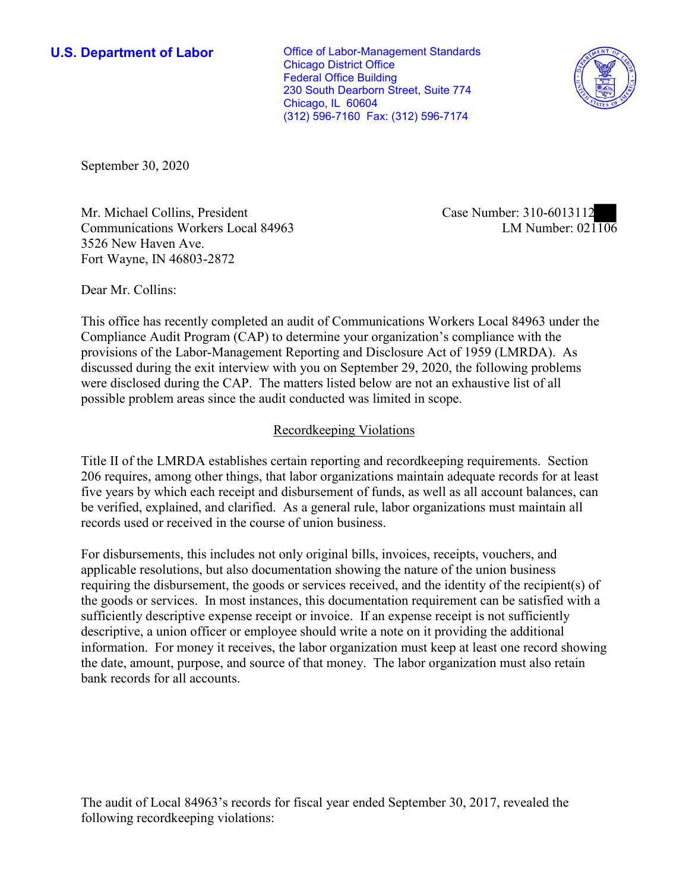**U.S. Department of Labor Conservative Conservative Conservative U.S.** Department of Labor Chicago District Office Federal Office Building 230 South Dearborn Street, Suite 774 Chicago, IL 60604 (312) 596-7160 Fax: (312) 596-7174



September 30, 2020

Mr. Michael Collins, President Case Number: 310-6013112 Communications Workers Local 84963 3526 New Haven Ave. Fort Wayne, IN 46803-2872

LM Number:  $021106$ 

Dear Mr. Collins:

 This office has recently completed an audit of Communications Workers Local 84963 under the Compliance Audit Program (CAP) to determine your organization's compliance with the provisions of the Labor-Management Reporting and Disclosure Act of 1959 (LMRDA). As discussed during the exit interview with you on September 29, 2020, the following problems were disclosed during the CAP. The matters listed below are not an exhaustive list of all possible problem areas since the audit conducted was limited in scope.

# Recordkeeping Violations

 Title II of the LMRDA establishes certain reporting and recordkeeping requirements. Section 206 requires, among other things, that labor organizations maintain adequate records for at least five years by which each receipt and disbursement of funds, as well as all account balances, can be verified, explained, and clarified. As a general rule, labor organizations must maintain all records used or received in the course of union business.

For disbursements, this includes not only original bills, invoices, receipts, vouchers, and applicable resolutions, but also documentation showing the nature of the union business requiring the disbursement, the goods or services received, and the identity of the recipient(s) of the goods or services. In most instances, this documentation requirement can be satisfied with a sufficiently descriptive expense receipt or invoice. If an expense receipt is not sufficiently descriptive, a union officer or employee should write a note on it providing the additional information. For money it receives, the labor organization must keep at least one record showing the date, amount, purpose, and source of that money. The labor organization must also retain bank records for all accounts.

 The audit of Local 84963's records for fiscal year ended September 30, 2017, revealed the following recordkeeping violations: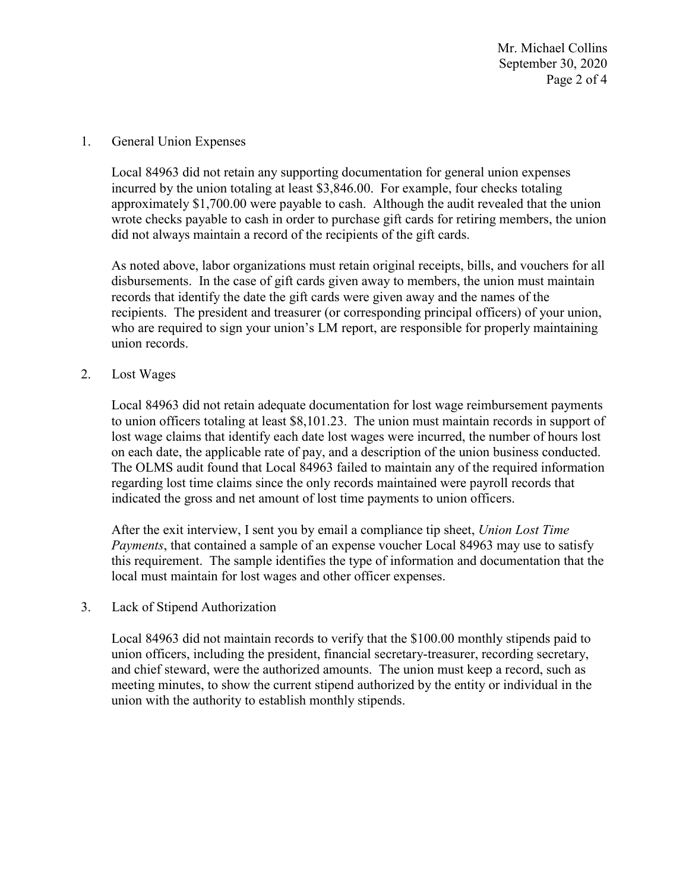Mr. Michael Collins September 30, 2020 Page 2 of 4

#### 1. General Union Expenses

 did not always maintain a record of the recipients of the gift cards. Local 84963 did not retain any supporting documentation for general union expenses incurred by the union totaling at least [\\$3,846.00](https://3,846.00). For example, four checks totaling approximately [\\$1,700.00](https://1,700.00) were payable to cash. Although the audit revealed that the union wrote checks payable to cash in order to purchase gift cards for retiring members, the union

 who are required to sign your union's LM report, are responsible for properly maintaining As noted above, labor organizations must retain original receipts, bills, and vouchers for all disbursements. In the case of gift cards given away to members, the union must maintain records that identify the date the gift cards were given away and the names of the recipients. The president and treasurer (or corresponding principal officers) of your union, union records.

### 2. Lost Wages

 regarding lost time claims since the only records maintained were payroll records that Local 84963 did not retain adequate documentation for lost wage reimbursement payments to union officers totaling at least \$[8,101.23.](https://8,101.23) The union must maintain records in support of lost wage claims that identify each date lost wages were incurred, the number of hours lost on each date, the applicable rate of pay, and a description of the union business conducted. The OLMS audit found that Local 84963 failed to maintain any of the required information indicated the gross and net amount of lost time payments to union officers.

 *Payments*, that contained a sample of an expense voucher Local 84963 may use to satisfy After the exit interview, I sent you by email a compliance tip sheet, *Union Lost Time*  this requirement. The sample identifies the type of information and documentation that the local must maintain for lost wages and other officer expenses.

#### 3. Lack of Stipend Authorization

Local 84963 did not maintain records to verify that the \$100.00 monthly stipends paid to union officers, including the president, financial secretary-treasurer, recording secretary, and chief steward, were the authorized amounts. The union must keep a record, such as meeting minutes, to show the current stipend authorized by the entity or individual in the union with the authority to establish monthly stipends.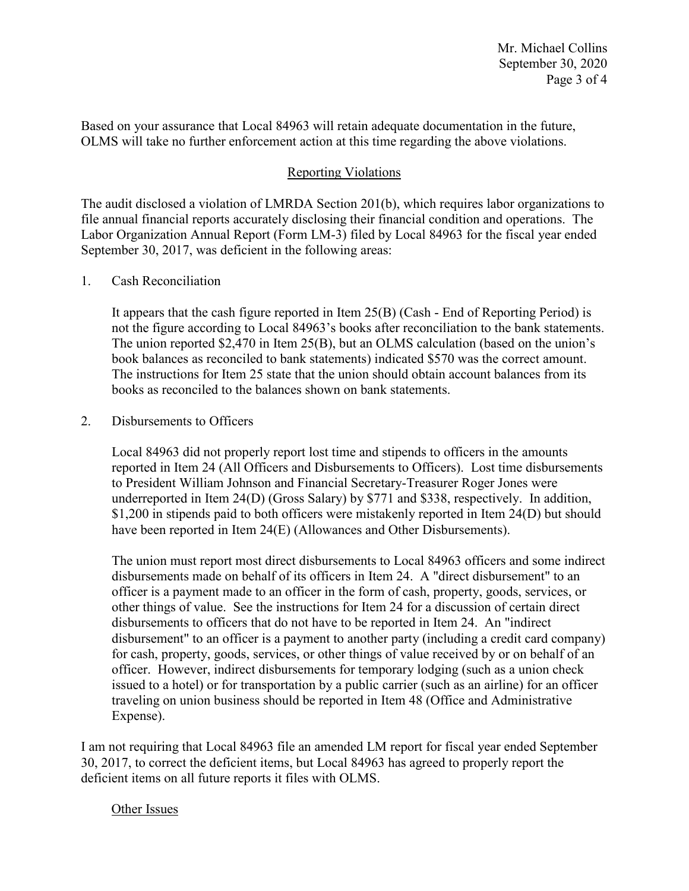Based on your assurance that Local 84963 will retain adequate documentation in the future, OLMS will take no further enforcement action at this time regarding the above violations.

## Reporting Violations

 Labor Organization Annual Report (Form LM-3) filed by Local 84963 for the fiscal year ended The audit disclosed a violation of LMRDA Section 201(b), which requires labor organizations to file annual financial reports accurately disclosing their financial condition and operations. The September 30, 2017, was deficient in the following areas:

### 1. Cash Reconciliation

 The instructions for Item 25 state that the union should obtain account balances from its It appears that the cash figure reported in Item 25(B) (Cash - End of Reporting Period) is not the figure according to Local 84963's books after reconciliation to the bank statements. The union reported \$2,470 in Item 25(B), but an OLMS calculation (based on the union's book balances as reconciled to bank statements) indicated \$570 was the correct amount. books as reconciled to the balances shown on bank statements.

### 2. Disbursements to Officers

 reported in Item 24 (All Officers and Disbursements to Officers). Lost time disbursements underreported in Item 24(D) (Gross Salary) by \$771 and \$338, respectively. In addition, Local 84963 did not properly report lost time and stipends to officers in the amounts to President William Johnson and Financial Secretary-Treasurer Roger Jones were \$1,200 in stipends paid to both officers were mistakenly reported in Item 24(D) but should have been reported in Item 24(E) (Allowances and Other Disbursements).

 issued to a hotel) or for transportation by a public carrier (such as an airline) for an officer The union must report most direct disbursements to Local 84963 officers and some indirect disbursements made on behalf of its officers in Item 24. A "direct disbursement" to an officer is a payment made to an officer in the form of cash, property, goods, services, or other things of value. See the instructions for Item 24 for a discussion of certain direct disbursements to officers that do not have to be reported in Item 24. An "indirect disbursement" to an officer is a payment to another party (including a credit card company) for cash, property, goods, services, or other things of value received by or on behalf of an officer. However, indirect disbursements for temporary lodging (such as a union check traveling on union business should be reported in Item 48 (Office and Administrative Expense).

 30, 2017, to correct the deficient items, but Local 84963 has agreed to properly report the I am not requiring that Local 84963 file an amended LM report for fiscal year ended September deficient items on all future reports it files with OLMS.

## Other Issues